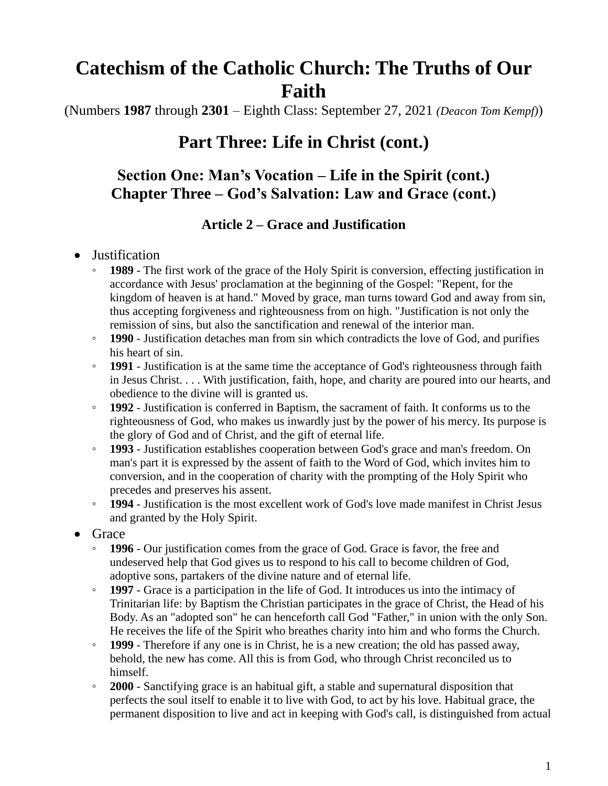# **Catechism of the Catholic Church: The Truths of Our Faith**

(Numbers **1987** through **2301** – Eighth Class: September 27, 2021 *(Deacon Tom Kempf)*)

# **Part Three: Life in Christ (cont.)**

# **Section One: Man's Vocation – Life in the Spirit (cont.) Chapter Three – God's Salvation: Law and Grace (cont.)**

## **Article 2 – Grace and Justification**

### • Justification

- **1989** The first work of the grace of the Holy Spirit is conversion, effecting justification in accordance with Jesus' proclamation at the beginning of the Gospel: "Repent, for the kingdom of heaven is at hand." Moved by grace, man turns toward God and away from sin, thus accepting forgiveness and righteousness from on high. "Justification is not only the remission of sins, but also the sanctification and renewal of the interior man.
- **1990** Justification detaches man from sin which contradicts the love of God, and purifies his heart of sin.
- **1991** Justification is at the same time the acceptance of God's righteousness through faith in Jesus Christ. . . . With justification, faith, hope, and charity are poured into our hearts, and obedience to the divine will is granted us.
- **1992** Justification is conferred in Baptism, the sacrament of faith. It conforms us to the righteousness of God, who makes us inwardly just by the power of his mercy. Its purpose is the glory of God and of Christ, and the gift of eternal life.
- **1993** Justification establishes cooperation between God's grace and man's freedom. On man's part it is expressed by the assent of faith to the Word of God, which invites him to conversion, and in the cooperation of charity with the prompting of the Holy Spirit who precedes and preserves his assent.
- **1994** Justification is the most excellent work of God's love made manifest in Christ Jesus and granted by the Holy Spirit.
- Grace
	- **1996** Our justification comes from the grace of God. Grace is favor, the free and undeserved help that God gives us to respond to his call to become children of God, adoptive sons, partakers of the divine nature and of eternal life.
	- **1997** Grace is a participation in the life of God. It introduces us into the intimacy of Trinitarian life: by Baptism the Christian participates in the grace of Christ, the Head of his Body. As an "adopted son" he can henceforth call God "Father," in union with the only Son. He receives the life of the Spirit who breathes charity into him and who forms the Church.
	- **1999** Therefore if any one is in Christ, he is a new creation; the old has passed away, behold, the new has come. All this is from God, who through Christ reconciled us to himself.
	- **2000** Sanctifying grace is an habitual gift, a stable and supernatural disposition that perfects the soul itself to enable it to live with God, to act by his love. Habitual grace, the permanent disposition to live and act in keeping with God's call, is distinguished from actual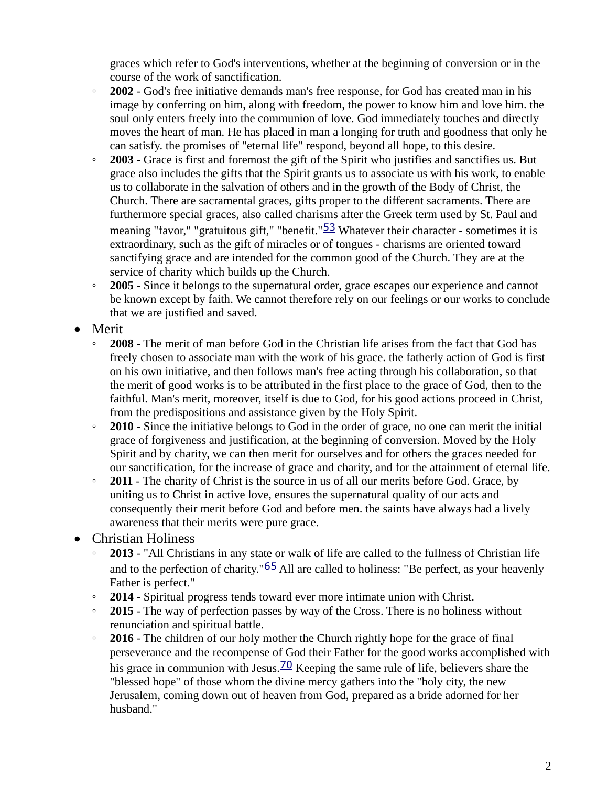graces which refer to God's interventions, whether at the beginning of conversion or in the course of the work of sanctification.

- **2002** God's free initiative demands man's free response, for God has created man in his image by conferring on him, along with freedom, the power to know him and love him. the soul only enters freely into the communion of love. God immediately touches and directly moves the heart of man. He has placed in man a longing for truth and goodness that only he can satisfy. the promises of "eternal life" respond, beyond all hope, to this desire.
- **2003** Grace is first and foremost the gift of the Spirit who justifies and sanctifies us. But grace also includes the gifts that the Spirit grants us to associate us with his work, to enable us to collaborate in the salvation of others and in the growth of the Body of Christ, the Church. There are sacramental graces, gifts proper to the different sacraments. There are furthermore special graces, also called charisms after the Greek term used by St. Paul and meaning "favor," "gratuitous gift," "benefit."<sup>[53](https://www.vatican.va/archive/ENG0015/__P6Z.HTM#$24R)</sup> Whatever their character - sometimes it is extraordinary, such as the gift of miracles or of tongues - charisms are oriented toward sanctifying grace and are intended for the common good of the Church. They are at the service of charity which builds up the Church.
- **2005** Since it belongs to the supernatural order, grace escapes our experience and cannot be known except by faith. We cannot therefore rely on our feelings or our works to conclude that we are justified and saved.
- Merit
	- **2008** The merit of man before God in the Christian life arises from the fact that God has freely chosen to associate man with the work of his grace. the fatherly action of God is first on his own initiative, and then follows man's free acting through his collaboration, so that the merit of good works is to be attributed in the first place to the grace of God, then to the faithful. Man's merit, moreover, itself is due to God, for his good actions proceed in Christ, from the predispositions and assistance given by the Holy Spirit.
	- **2010** Since the initiative belongs to God in the order of grace, no one can merit the initial grace of forgiveness and justification, at the beginning of conversion. Moved by the Holy Spirit and by charity, we can then merit for ourselves and for others the graces needed for our sanctification, for the increase of grace and charity, and for the attainment of eternal life.
	- **2011** The charity of Christ is the source in us of all our merits before God. Grace, by uniting us to Christ in active love, ensures the supernatural quality of our acts and consequently their merit before God and before men. the saints have always had a lively awareness that their merits were pure grace.

#### • Christian Holiness

- **2013** "All Christians in any state or walk of life are called to the fullness of Christian life and to the perfection of charity." $65$  All are called to holiness: "Be perfect, as your heavenly Father is perfect."
- **2014** Spiritual progress tends toward ever more intimate union with Christ.
- **2015** The way of perfection passes by way of the Cross. There is no holiness without renunciation and spiritual battle.
- **2016** The children of our holy mother the Church rightly hope for the grace of final perseverance and the recompense of God their Father for the good works accomplished with his grace in communion with Jesus.<sup>[70](https://www.vatican.va/archive/ENG0015/__P71.HTM#$258)</sup> Keeping the same rule of life, believers share the "blessed hope" of those whom the divine mercy gathers into the "holy city, the new Jerusalem, coming down out of heaven from God, prepared as a bride adorned for her husband."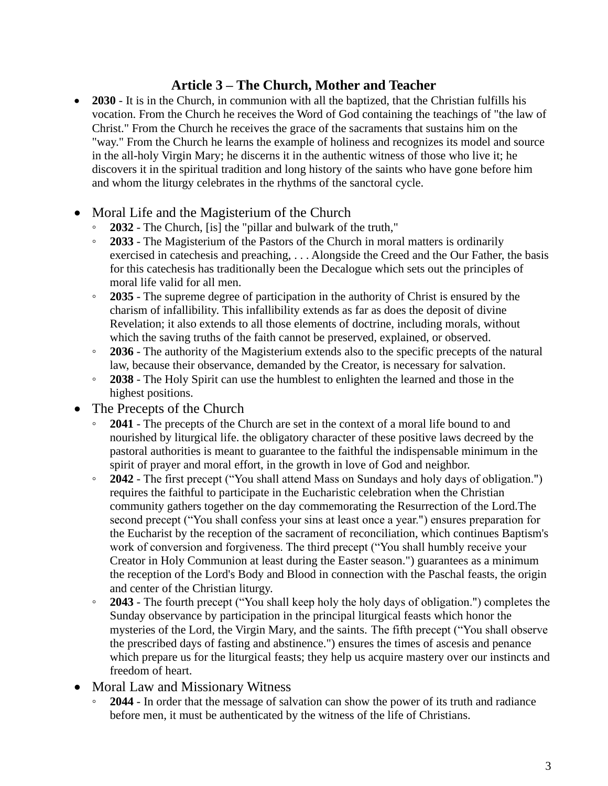## **Article 3 – The Church, Mother and Teacher**

• **2030** - It is in the Church, in communion with all the baptized, that the Christian fulfills his vocation. From the Church he receives the Word of God containing the teachings of "the law of Christ." From the Church he receives the grace of the sacraments that sustains him on the "way." From the Church he learns the example of holiness and recognizes its model and source in the all-holy Virgin Mary; he discerns it in the authentic witness of those who live it; he discovers it in the spiritual tradition and long history of the saints who have gone before him and whom the liturgy celebrates in the rhythms of the sanctoral cycle.

#### • Moral Life and the Magisterium of the Church

- **2032** The Church, [is] the "pillar and bulwark of the truth,"
- **2033** The Magisterium of the Pastors of the Church in moral matters is ordinarily exercised in catechesis and preaching, . . . Alongside the Creed and the Our Father, the basis for this catechesis has traditionally been the Decalogue which sets out the principles of moral life valid for all men.
- **2035** The supreme degree of participation in the authority of Christ is ensured by the charism of infallibility. This infallibility extends as far as does the deposit of divine Revelation; it also extends to all those elements of doctrine, including morals, without which the saving truths of the faith cannot be preserved, explained, or observed.
- **2036** The authority of the Magisterium extends also to the specific precepts of the natural law, because their observance, demanded by the Creator, is necessary for salvation.
- **2038** The Holy Spirit can use the humblest to enlighten the learned and those in the highest positions.
- The Precepts of the Church
	- **2041** The precepts of the Church are set in the context of a moral life bound to and nourished by liturgical life. the obligatory character of these positive laws decreed by the pastoral authorities is meant to guarantee to the faithful the indispensable minimum in the spirit of prayer and moral effort, in the growth in love of God and neighbor.
	- **2042** The first precept ("You shall attend Mass on Sundays and holy days of obligation.") requires the faithful to participate in the Eucharistic celebration when the Christian community gathers together on the day commemorating the Resurrection of the Lord.The second precept ("You shall confess your sins at least once a year.") ensures preparation for the Eucharist by the reception of the sacrament of reconciliation, which continues Baptism's work of conversion and forgiveness. The third precept ("You shall humbly receive your Creator in Holy Communion at least during the Easter season.") guarantees as a minimum the reception of the Lord's Body and Blood in connection with the Paschal feasts, the origin and center of the Christian liturgy.
	- **2043** The fourth precept ("You shall keep holy the holy days of obligation.") completes the Sunday observance by participation in the principal liturgical feasts which honor the mysteries of the Lord, the Virgin Mary, and the saints. The fifth precept ("You shall observe the prescribed days of fasting and abstinence.") ensures the times of ascesis and penance which prepare us for the liturgical feasts; they help us acquire mastery over our instincts and freedom of heart.
- Moral Law and Missionary Witness
	- **2044** In order that the message of salvation can show the power of its truth and radiance before men, it must be authenticated by the witness of the life of Christians.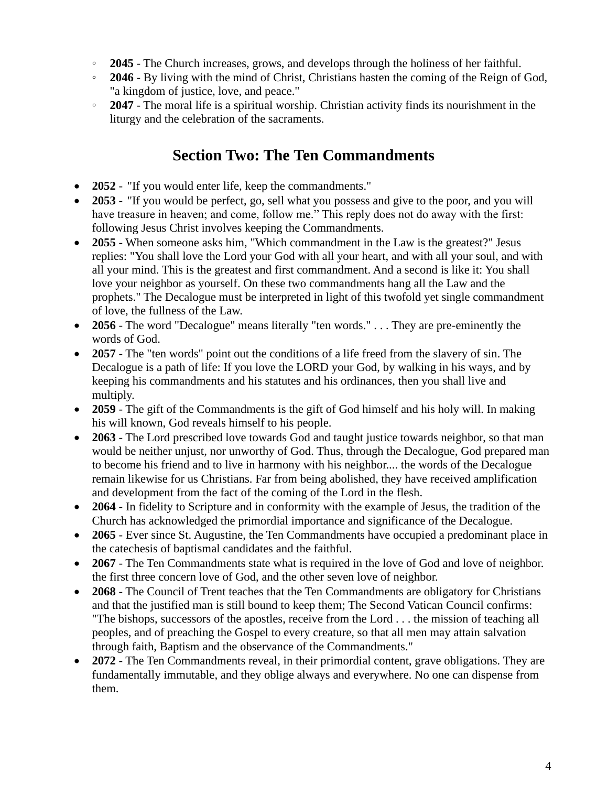- **2045** The Church increases, grows, and develops through the holiness of her faithful.
- **2046** By living with the mind of Christ, Christians hasten the coming of the Reign of God, "a kingdom of justice, love, and peace."
- **2047** The moral life is a spiritual worship. Christian activity finds its nourishment in the liturgy and the celebration of the sacraments.

# **Section Two: The Ten Commandments**

- **2052** "If you would enter life, keep the commandments."
- **2053** "If you would be perfect, go, sell what you possess and give to the poor, and you will have treasure in heaven; and come, follow me." This reply does not do away with the first: following Jesus Christ involves keeping the Commandments.
- **2055** When someone asks him, "Which commandment in the Law is the greatest?" Jesus replies: "You shall love the Lord your God with all your heart, and with all your soul, and with all your mind. This is the greatest and first commandment. And a second is like it: You shall love your neighbor as yourself. On these two commandments hang all the Law and the prophets." The Decalogue must be interpreted in light of this twofold yet single commandment of love, the fullness of the Law.
- **2056** The word "Decalogue" means literally "ten words." . . . They are pre-eminently the words of God.
- **2057** The "ten words" point out the conditions of a life freed from the slavery of sin. The Decalogue is a path of life: If you love the LORD your God, by walking in his ways, and by keeping his commandments and his statutes and his ordinances, then you shall live and multiply.
- **2059** The gift of the Commandments is the gift of God himself and his holy will. In making his will known, God reveals himself to his people.
- **2063** The Lord prescribed love towards God and taught justice towards neighbor, so that man would be neither unjust, nor unworthy of God. Thus, through the Decalogue, God prepared man to become his friend and to live in harmony with his neighbor.... the words of the Decalogue remain likewise for us Christians. Far from being abolished, they have received amplification and development from the fact of the coming of the Lord in the flesh.
- **2064** In fidelity to Scripture and in conformity with the example of Jesus, the tradition of the Church has acknowledged the primordial importance and significance of the Decalogue.
- **2065** Ever since St. Augustine, the Ten Commandments have occupied a predominant place in the catechesis of baptismal candidates and the faithful.
- **2067** The Ten Commandments state what is required in the love of God and love of neighbor. the first three concern love of God, and the other seven love of neighbor.
- **2068** The Council of Trent teaches that the Ten Commandments are obligatory for Christians and that the justified man is still bound to keep them; The Second Vatican Council confirms: "The bishops, successors of the apostles, receive from the Lord . . . the mission of teaching all peoples, and of preaching the Gospel to every creature, so that all men may attain salvation through faith, Baptism and the observance of the Commandments."
- **2072** The Ten Commandments reveal, in their primordial content, grave obligations. They are fundamentally immutable, and they oblige always and everywhere. No one can dispense from them.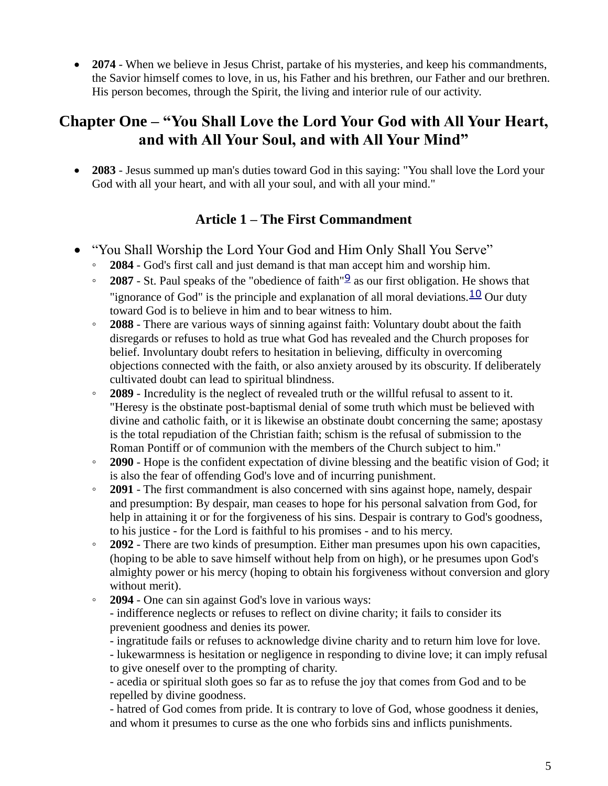• **2074** - When we believe in Jesus Christ, partake of his mysteries, and keep his commandments, the Savior himself comes to love, in us, his Father and his brethren, our Father and our brethren. His person becomes, through the Spirit, the living and interior rule of our activity.

# **Chapter One – "You Shall Love the Lord Your God with All Your Heart, and with All Your Soul, and with All Your Mind"**

• **2083** - Jesus summed up man's duties toward God in this saying: "You shall love the Lord your God with all your heart, and with all your soul, and with all your mind."

### **Article 1 – The First Commandment**

- "You Shall Worship the Lord Your God and Him Only Shall You Serve"
	- **2084** God's first call and just demand is that man accept him and worship him.
	- **2087** St. Paul speaks of the "obedience of faith"[9](https://www.vatican.va/archive/ENG0015/__P7C.HTM#$270) as our first obligation. He shows that "ignorance of God" is the principle and explanation of all moral deviations.  $\frac{10}{10}$  $\frac{10}{10}$  $\frac{10}{10}$  Our duty toward God is to believe in him and to bear witness to him.
	- **2088** There are various ways of sinning against faith: Voluntary doubt about the faith disregards or refuses to hold as true what God has revealed and the Church proposes for belief. Involuntary doubt refers to hesitation in believing, difficulty in overcoming objections connected with the faith, or also anxiety aroused by its obscurity. If deliberately cultivated doubt can lead to spiritual blindness.
	- **2089** Incredulity is the neglect of revealed truth or the willful refusal to assent to it. "Heresy is the obstinate post-baptismal denial of some truth which must be believed with divine and catholic faith, or it is likewise an obstinate doubt concerning the same; apostasy is the total repudiation of the Christian faith; schism is the refusal of submission to the Roman Pontiff or of communion with the members of the Church subject to him."
	- **2090** Hope is the confident expectation of divine blessing and the beatific vision of God; it is also the fear of offending God's love and of incurring punishment.
	- **2091** The first commandment is also concerned with sins against hope, namely, despair and presumption: By despair, man ceases to hope for his personal salvation from God, for help in attaining it or for the forgiveness of his sins. Despair is contrary to God's goodness, to his justice - for the Lord is faithful to his promises - and to his mercy.
	- **2092** There are two kinds of presumption. Either man presumes upon his own capacities, (hoping to be able to save himself without help from on high), or he presumes upon God's almighty power or his mercy (hoping to obtain his forgiveness without conversion and glory without merit).
	- **2094** One can sin against God's love in various ways:
		- indifference neglects or refuses to reflect on divine charity; it fails to consider its prevenient goodness and denies its power.

- ingratitude fails or refuses to acknowledge divine charity and to return him love for love. - lukewarmness is hesitation or negligence in responding to divine love; it can imply refusal to give oneself over to the prompting of charity.

- acedia or spiritual sloth goes so far as to refuse the joy that comes from God and to be repelled by divine goodness.

- hatred of God comes from pride. It is contrary to love of God, whose goodness it denies, and whom it presumes to curse as the one who forbids sins and inflicts punishments.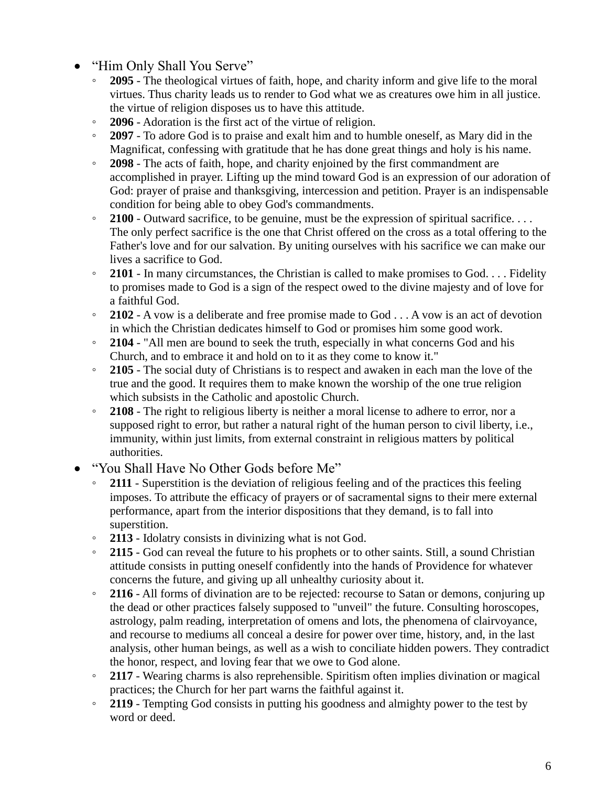- "Him Only Shall You Serve"
	- **2095** The theological virtues of faith, hope, and charity inform and give life to the moral virtues. Thus charity leads us to render to God what we as creatures owe him in all justice. the virtue of religion disposes us to have this attitude.
	- **2096** Adoration is the first act of the virtue of religion.
	- **2097** To adore God is to praise and exalt him and to humble oneself, as Mary did in the Magnificat, confessing with gratitude that he has done great things and holy is his name.
	- **2098** The acts of faith, hope, and charity enjoined by the first commandment are accomplished in prayer. Lifting up the mind toward God is an expression of our adoration of God: prayer of praise and thanksgiving, intercession and petition. Prayer is an indispensable condition for being able to obey God's commandments.
	- **2100** Outward sacrifice, to be genuine, must be the expression of spiritual sacrifice. . . . The only perfect sacrifice is the one that Christ offered on the cross as a total offering to the Father's love and for our salvation. By uniting ourselves with his sacrifice we can make our lives a sacrifice to God.
	- **2101** In many circumstances, the Christian is called to make promises to God. . . . Fidelity to promises made to God is a sign of the respect owed to the divine majesty and of love for a faithful God.
	- **2102** A vow is a deliberate and free promise made to God . . . A vow is an act of devotion in which the Christian dedicates himself to God or promises him some good work.
	- **2104** "All men are bound to seek the truth, especially in what concerns God and his Church, and to embrace it and hold on to it as they come to know it."
	- **2105** The social duty of Christians is to respect and awaken in each man the love of the true and the good. It requires them to make known the worship of the one true religion which subsists in the Catholic and apostolic Church.
	- **2108** The right to religious liberty is neither a moral license to adhere to error, nor a supposed right to error, but rather a natural right of the human person to civil liberty, i.e., immunity, within just limits, from external constraint in religious matters by political authorities.
- "You Shall Have No Other Gods before Me"
	- **2111** Superstition is the deviation of religious feeling and of the practices this feeling imposes. To attribute the efficacy of prayers or of sacramental signs to their mere external performance, apart from the interior dispositions that they demand, is to fall into superstition.
	- **2113** Idolatry consists in divinizing what is not God.
	- **2115** God can reveal the future to his prophets or to other saints. Still, a sound Christian attitude consists in putting oneself confidently into the hands of Providence for whatever concerns the future, and giving up all unhealthy curiosity about it.
	- **2116** All forms of divination are to be rejected: recourse to Satan or demons, conjuring up the dead or other practices falsely supposed to "unveil" the future. Consulting horoscopes, astrology, palm reading, interpretation of omens and lots, the phenomena of clairvoyance, and recourse to mediums all conceal a desire for power over time, history, and, in the last analysis, other human beings, as well as a wish to conciliate hidden powers. They contradict the honor, respect, and loving fear that we owe to God alone.
	- **2117** Wearing charms is also reprehensible. Spiritism often implies divination or magical practices; the Church for her part warns the faithful against it.
	- **2119** Tempting God consists in putting his goodness and almighty power to the test by word or deed.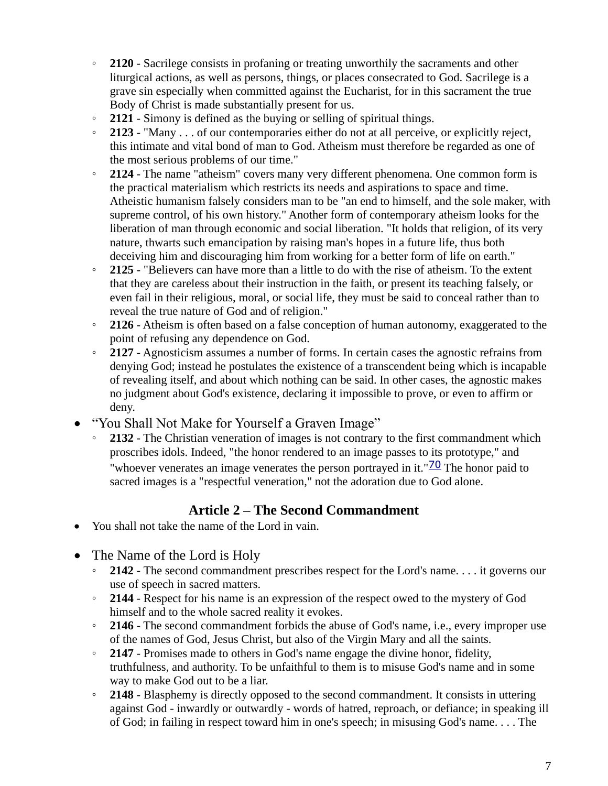- **2120** Sacrilege consists in profaning or treating unworthily the sacraments and other liturgical actions, as well as persons, things, or places consecrated to God. Sacrilege is a grave sin especially when committed against the Eucharist, for in this sacrament the true Body of Christ is made substantially present for us.
- **2121** Simony is defined as the buying or selling of spiritual things.
- **2123** "Many . . . of our contemporaries either do not at all perceive, or explicitly reject, this intimate and vital bond of man to God. Atheism must therefore be regarded as one of the most serious problems of our time."
- **2124** The name "atheism" covers many very different phenomena. One common form is the practical materialism which restricts its needs and aspirations to space and time. Atheistic humanism falsely considers man to be "an end to himself, and the sole maker, with supreme control, of his own history." Another form of contemporary atheism looks for the liberation of man through economic and social liberation. "It holds that religion, of its very nature, thwarts such emancipation by raising man's hopes in a future life, thus both deceiving him and discouraging him from working for a better form of life on earth."
- **2125** "Believers can have more than a little to do with the rise of atheism. To the extent that they are careless about their instruction in the faith, or present its teaching falsely, or even fail in their religious, moral, or social life, they must be said to conceal rather than to reveal the true nature of God and of religion."
- **2126** Atheism is often based on a false conception of human autonomy, exaggerated to the point of refusing any dependence on God.
- **2127** Agnosticism assumes a number of forms. In certain cases the agnostic refrains from denying God; instead he postulates the existence of a transcendent being which is incapable of revealing itself, and about which nothing can be said. In other cases, the agnostic makes no judgment about God's existence, declaring it impossible to prove, or even to affirm or deny.
- "You Shall Not Make for Yourself a Graven Image"
	- **2132** The Christian veneration of images is not contrary to the first commandment which proscribes idols. Indeed, "the honor rendered to an image passes to its prototype," and "whoever venerates an image venerates the person portrayed in it." $\frac{70}{2}$  $\frac{70}{2}$  $\frac{70}{2}$  The honor paid to sacred images is a "respectful veneration," not the adoration due to God alone.

#### **Article 2 – The Second Commandment**

- You shall not take the name of the Lord in vain.
- The Name of the Lord is Holy
	- **2142** The second commandment prescribes respect for the Lord's name. . . . it governs our use of speech in sacred matters.
	- **2144** Respect for his name is an expression of the respect owed to the mystery of God himself and to the whole sacred reality it evokes.
	- **2146** The second commandment forbids the abuse of God's name, i.e., every improper use of the names of God, Jesus Christ, but also of the Virgin Mary and all the saints.
	- **2147** Promises made to others in God's name engage the divine honor, fidelity, truthfulness, and authority. To be unfaithful to them is to misuse God's name and in some way to make God out to be a liar.
	- **2148** Blasphemy is directly opposed to the second commandment. It consists in uttering against God - inwardly or outwardly - words of hatred, reproach, or defiance; in speaking ill of God; in failing in respect toward him in one's speech; in misusing God's name. . . . The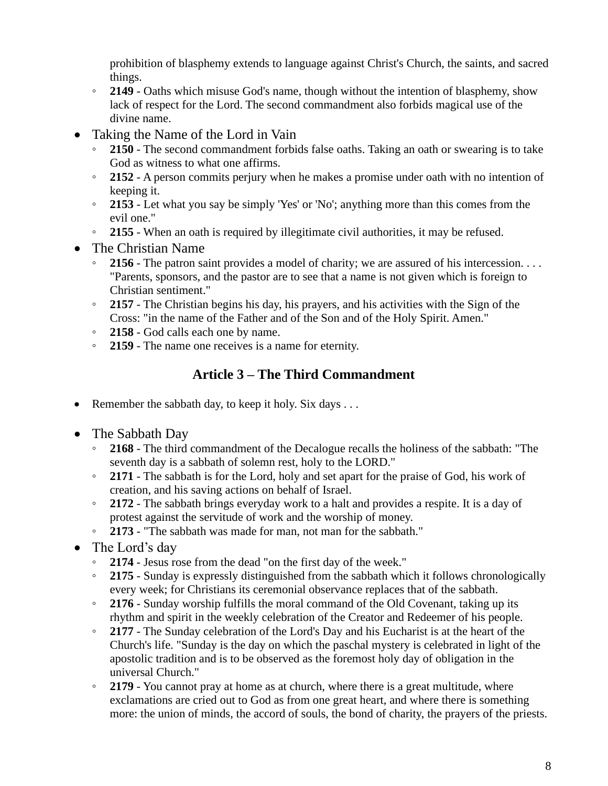prohibition of blasphemy extends to language against Christ's Church, the saints, and sacred things.

- **2149** Oaths which misuse God's name, though without the intention of blasphemy, show lack of respect for the Lord. The second commandment also forbids magical use of the divine name.
- Taking the Name of the Lord in Vain
	- **2150** The second commandment forbids false oaths. Taking an oath or swearing is to take God as witness to what one affirms.
	- **2152** A person commits perjury when he makes a promise under oath with no intention of keeping it.
	- **2153** Let what you say be simply 'Yes' or 'No'; anything more than this comes from the evil one."
	- **2155** When an oath is required by illegitimate civil authorities, it may be refused.
- The Christian Name
	- **2156** The patron saint provides a model of charity; we are assured of his intercession. . . . "Parents, sponsors, and the pastor are to see that a name is not given which is foreign to Christian sentiment."
	- **2157** The Christian begins his day, his prayers, and his activities with the Sign of the Cross: "in the name of the Father and of the Son and of the Holy Spirit. Amen."
	- **2158** God calls each one by name.
	- **2159** The name one receives is a name for eternity.

# **Article 3 – The Third Commandment**

- Remember the sabbath day, to keep it holy. Six days . . .
- The Sabbath Day
	- **2168** The third commandment of the Decalogue recalls the holiness of the sabbath: "The seventh day is a sabbath of solemn rest, holy to the LORD."
	- **2171** The sabbath is for the Lord, holy and set apart for the praise of God, his work of creation, and his saving actions on behalf of Israel.
	- **2172** The sabbath brings everyday work to a halt and provides a respite. It is a day of protest against the servitude of work and the worship of money.
	- **2173** "The sabbath was made for man, not man for the sabbath."
- The Lord's day
	- **2174** Jesus rose from the dead "on the first day of the week."
	- **2175** Sunday is expressly distinguished from the sabbath which it follows chronologically every week; for Christians its ceremonial observance replaces that of the sabbath.
	- **2176** Sunday worship fulfills the moral command of the Old Covenant, taking up its rhythm and spirit in the weekly celebration of the Creator and Redeemer of his people.
	- **2177** The Sunday celebration of the Lord's Day and his Eucharist is at the heart of the Church's life. "Sunday is the day on which the paschal mystery is celebrated in light of the apostolic tradition and is to be observed as the foremost holy day of obligation in the universal Church."
	- **2179** You cannot pray at home as at church, where there is a great multitude, where exclamations are cried out to God as from one great heart, and where there is something more: the union of minds, the accord of souls, the bond of charity, the prayers of the priests.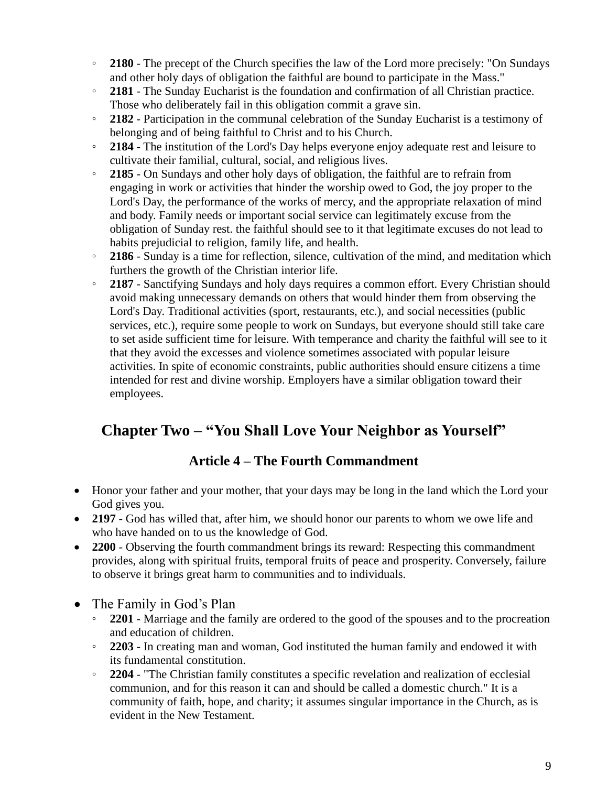- **2180** The precept of the Church specifies the law of the Lord more precisely: "On Sundays and other holy days of obligation the faithful are bound to participate in the Mass."
- **2181** The Sunday Eucharist is the foundation and confirmation of all Christian practice. Those who deliberately fail in this obligation commit a grave sin.
- **2182** Participation in the communal celebration of the Sunday Eucharist is a testimony of belonging and of being faithful to Christ and to his Church.
- **2184** The institution of the Lord's Day helps everyone enjoy adequate rest and leisure to cultivate their familial, cultural, social, and religious lives.
- **2185** On Sundays and other holy days of obligation, the faithful are to refrain from engaging in work or activities that hinder the worship owed to God, the joy proper to the Lord's Day, the performance of the works of mercy, and the appropriate relaxation of mind and body. Family needs or important social service can legitimately excuse from the obligation of Sunday rest. the faithful should see to it that legitimate excuses do not lead to habits prejudicial to religion, family life, and health.
- **2186** Sunday is a time for reflection, silence, cultivation of the mind, and meditation which furthers the growth of the Christian interior life.
- **2187** Sanctifying Sundays and holy days requires a common effort. Every Christian should avoid making unnecessary demands on others that would hinder them from observing the Lord's Day. Traditional activities (sport, restaurants, etc.), and social necessities (public services, etc.), require some people to work on Sundays, but everyone should still take care to set aside sufficient time for leisure. With temperance and charity the faithful will see to it that they avoid the excesses and violence sometimes associated with popular leisure activities. In spite of economic constraints, public authorities should ensure citizens a time intended for rest and divine worship. Employers have a similar obligation toward their employees.

# **Chapter Two – "You Shall Love Your Neighbor as Yourself"**

### **Article 4 – The Fourth Commandment**

- Honor your father and your mother, that your days may be long in the land which the Lord your God gives you.
- **2197** God has willed that, after him, we should honor our parents to whom we owe life and who have handed on to us the knowledge of God.
- **2200** Observing the fourth commandment brings its reward: Respecting this commandment provides, along with spiritual fruits, temporal fruits of peace and prosperity. Conversely, failure to observe it brings great harm to communities and to individuals.
- The Family in God's Plan
	- **2201** Marriage and the family are ordered to the good of the spouses and to the procreation and education of children.
	- **2203** In creating man and woman, God instituted the human family and endowed it with its fundamental constitution.
	- **2204** "The Christian family constitutes a specific revelation and realization of ecclesial communion, and for this reason it can and should be called a domestic church." It is a community of faith, hope, and charity; it assumes singular importance in the Church, as is evident in the New Testament.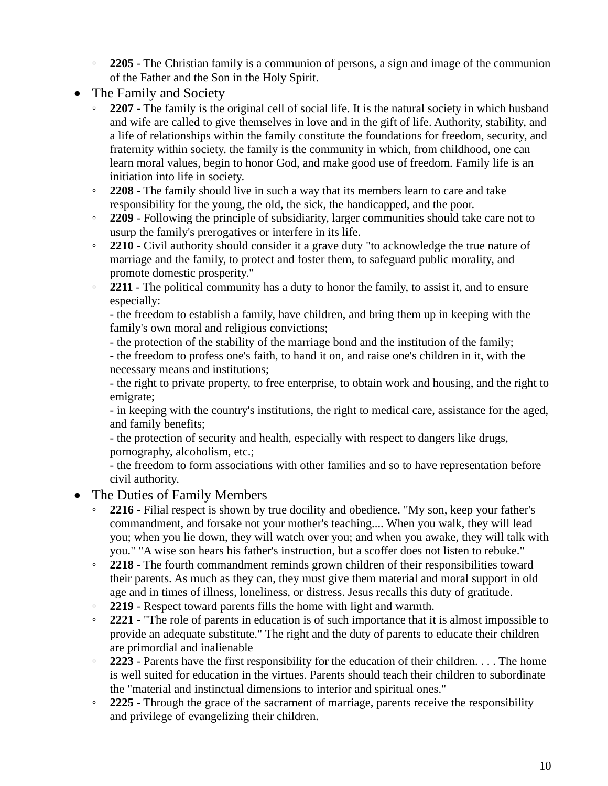- **2205** The Christian family is a communion of persons, a sign and image of the communion of the Father and the Son in the Holy Spirit.
- The Family and Society
	- **2207** The family is the original cell of social life. It is the natural society in which husband and wife are called to give themselves in love and in the gift of life. Authority, stability, and a life of relationships within the family constitute the foundations for freedom, security, and fraternity within society. the family is the community in which, from childhood, one can learn moral values, begin to honor God, and make good use of freedom. Family life is an initiation into life in society.
	- **2208** The family should live in such a way that its members learn to care and take responsibility for the young, the old, the sick, the handicapped, and the poor.
	- **2209** Following the principle of subsidiarity, larger communities should take care not to usurp the family's prerogatives or interfere in its life.
	- **2210** Civil authority should consider it a grave duty "to acknowledge the true nature of marriage and the family, to protect and foster them, to safeguard public morality, and promote domestic prosperity."
	- **2211** The political community has a duty to honor the family, to assist it, and to ensure especially:

- the freedom to establish a family, have children, and bring them up in keeping with the family's own moral and religious convictions;

- the protection of the stability of the marriage bond and the institution of the family;

- the freedom to profess one's faith, to hand it on, and raise one's children in it, with the necessary means and institutions;

- the right to private property, to free enterprise, to obtain work and housing, and the right to emigrate;

- in keeping with the country's institutions, the right to medical care, assistance for the aged, and family benefits;

- the protection of security and health, especially with respect to dangers like drugs, pornography, alcoholism, etc.;

- the freedom to form associations with other families and so to have representation before civil authority.

#### • The Duties of Family Members

- **2216** Filial respect is shown by true docility and obedience. "My son, keep your father's commandment, and forsake not your mother's teaching.... When you walk, they will lead you; when you lie down, they will watch over you; and when you awake, they will talk with you." "A wise son hears his father's instruction, but a scoffer does not listen to rebuke."
- **2218** The fourth commandment reminds grown children of their responsibilities toward their parents. As much as they can, they must give them material and moral support in old age and in times of illness, loneliness, or distress. Jesus recalls this duty of gratitude.
- **2219** Respect toward parents fills the home with light and warmth.
- **2221** "The role of parents in education is of such importance that it is almost impossible to provide an adequate substitute." The right and the duty of parents to educate their children are primordial and inalienable
- **2223** Parents have the first responsibility for the education of their children. . . . The home is well suited for education in the virtues. Parents should teach their children to subordinate the "material and instinctual dimensions to interior and spiritual ones."
- **2225** Through the grace of the sacrament of marriage, parents receive the responsibility and privilege of evangelizing their children.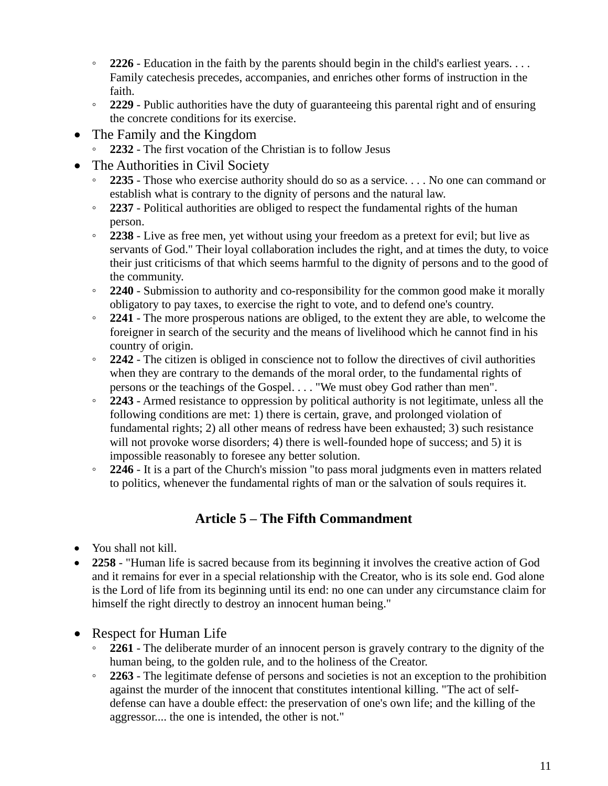- **2226** Education in the faith by the parents should begin in the child's earliest years. . . . Family catechesis precedes, accompanies, and enriches other forms of instruction in the faith.
- **2229** Public authorities have the duty of guaranteeing this parental right and of ensuring the concrete conditions for its exercise.
- The Family and the Kingdom
	- **2232** The first vocation of the Christian is to follow Jesus
- The Authorities in Civil Society
	- **2235** Those who exercise authority should do so as a service. . . . No one can command or establish what is contrary to the dignity of persons and the natural law.
	- **2237** Political authorities are obliged to respect the fundamental rights of the human person.
	- **2238** Live as free men, yet without using your freedom as a pretext for evil; but live as servants of God." Their loyal collaboration includes the right, and at times the duty, to voice their just criticisms of that which seems harmful to the dignity of persons and to the good of the community.
	- **2240** Submission to authority and co-responsibility for the common good make it morally obligatory to pay taxes, to exercise the right to vote, and to defend one's country.
	- **2241** The more prosperous nations are obliged, to the extent they are able, to welcome the foreigner in search of the security and the means of livelihood which he cannot find in his country of origin.
	- **2242** The citizen is obliged in conscience not to follow the directives of civil authorities when they are contrary to the demands of the moral order, to the fundamental rights of persons or the teachings of the Gospel. . . . "We must obey God rather than men".
	- **2243** Armed resistance to oppression by political authority is not legitimate, unless all the following conditions are met: 1) there is certain, grave, and prolonged violation of fundamental rights; 2) all other means of redress have been exhausted; 3) such resistance will not provoke worse disorders; 4) there is well-founded hope of success; and 5) it is impossible reasonably to foresee any better solution.
	- **2246** It is a part of the Church's mission "to pass moral judgments even in matters related to politics, whenever the fundamental rights of man or the salvation of souls requires it.

## **Article 5 – The Fifth Commandment**

- You shall not kill.
- **2258** "Human life is sacred because from its beginning it involves the creative action of God and it remains for ever in a special relationship with the Creator, who is its sole end. God alone is the Lord of life from its beginning until its end: no one can under any circumstance claim for himself the right directly to destroy an innocent human being."
- Respect for Human Life
	- **2261** The deliberate murder of an innocent person is gravely contrary to the dignity of the human being, to the golden rule, and to the holiness of the Creator.
	- **2263** The legitimate defense of persons and societies is not an exception to the prohibition against the murder of the innocent that constitutes intentional killing. "The act of selfdefense can have a double effect: the preservation of one's own life; and the killing of the aggressor.... the one is intended, the other is not."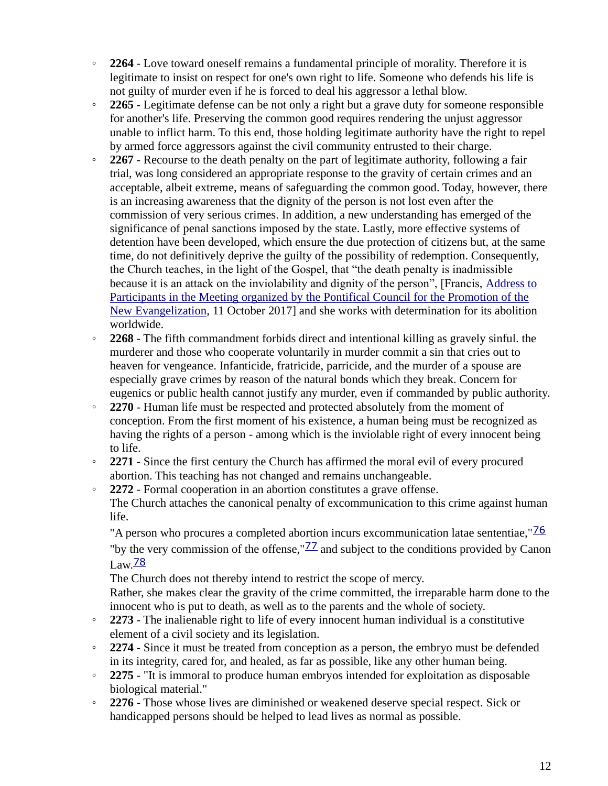- **2264** Love toward oneself remains a fundamental principle of morality. Therefore it is legitimate to insist on respect for one's own right to life. Someone who defends his life is not guilty of murder even if he is forced to deal his aggressor a lethal blow.
- **2265** Legitimate defense can be not only a right but a grave duty for someone responsible for another's life. Preserving the common good requires rendering the unjust aggressor unable to inflict harm. To this end, those holding legitimate authority have the right to repel by armed force aggressors against the civil community entrusted to their charge.
- **2267** Recourse to the death penalty on the part of legitimate authority, following a fair trial, was long considered an appropriate response to the gravity of certain crimes and an acceptable, albeit extreme, means of safeguarding the common good. Today, however, there is an increasing awareness that the dignity of the person is not lost even after the commission of very serious crimes. In addition, a new understanding has emerged of the significance of penal sanctions imposed by the state. Lastly, more effective systems of detention have been developed, which ensure the due protection of citizens but, at the same time, do not definitively deprive the guilty of the possibility of redemption. Consequently, the Church teaches, in the light of the Gospel, that "the death penalty is inadmissible because it is an attack on the inviolability and dignity of the person", [Francis, Address to Participants in the Meeting organized by the Pontifical Council for the Promotion of the New Evangelization, 11 October 2017] and she works with determination for its abolition worldwide.
- **2268** The fifth commandment forbids direct and intentional killing as gravely sinful. the murderer and those who cooperate voluntarily in murder commit a sin that cries out to heaven for vengeance. Infanticide, fratricide, parricide, and the murder of a spouse are especially grave crimes by reason of the natural bonds which they break. Concern for eugenics or public health cannot justify any murder, even if commanded by public authority.
- **2270** Human life must be respected and protected absolutely from the moment of conception. From the first moment of his existence, a human being must be recognized as having the rights of a person - among which is the inviolable right of every innocent being to life.
- **2271** Since the first century the Church has affirmed the moral evil of every procured abortion. This teaching has not changed and remains unchangeable.
- **2272** Formal cooperation in an abortion constitutes a grave offense. The Church attaches the canonical penalty of excommunication to this crime against human life.

"A person who procures a completed abortion incurs excommunication latae sententiae,"<sup>76</sup> "by the very commission of the offense," $\frac{77}{2}$  and subject to the conditions provided by Canon Law  $\frac{78}{2}$ 

The Church does not thereby intend to restrict the scope of mercy.

Rather, she makes clear the gravity of the crime committed, the irreparable harm done to the innocent who is put to death, as well as to the parents and the whole of society.

- **2273** The inalienable right to life of every innocent human individual is a constitutive element of a civil society and its legislation.
- **2274** Since it must be treated from conception as a person, the embryo must be defended in its integrity, cared for, and healed, as far as possible, like any other human being.
- **2275** "It is immoral to produce human embryos intended for exploitation as disposable biological material."
- **2276** Those whose lives are diminished or weakened deserve special respect. Sick or handicapped persons should be helped to lead lives as normal as possible.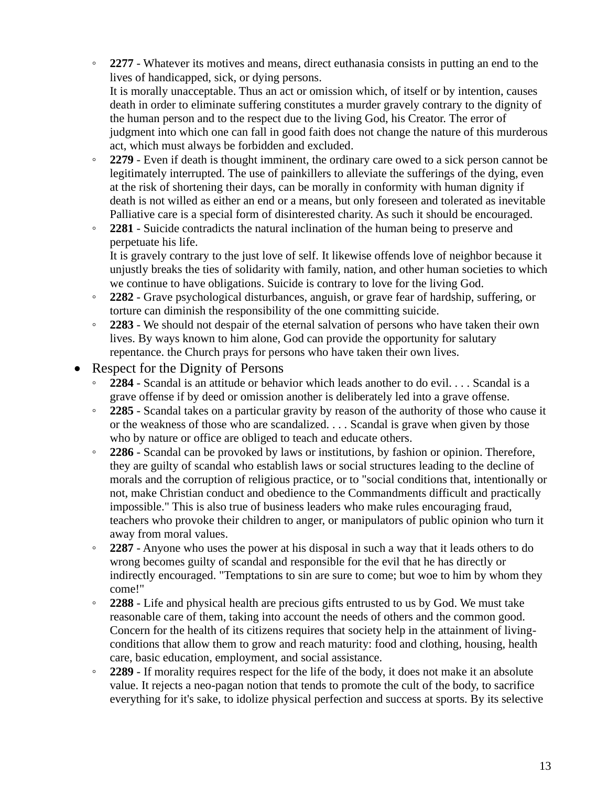- **2277** Whatever its motives and means, direct euthanasia consists in putting an end to the lives of handicapped, sick, or dying persons. It is morally unacceptable. Thus an act or omission which, of itself or by intention, causes death in order to eliminate suffering constitutes a murder gravely contrary to the dignity of the human person and to the respect due to the living God, his Creator. The error of judgment into which one can fall in good faith does not change the nature of this murderous act, which must always be forbidden and excluded.
- **2279** Even if death is thought imminent, the ordinary care owed to a sick person cannot be legitimately interrupted. The use of painkillers to alleviate the sufferings of the dying, even at the risk of shortening their days, can be morally in conformity with human dignity if death is not willed as either an end or a means, but only foreseen and tolerated as inevitable Palliative care is a special form of disinterested charity. As such it should be encouraged.
- **2281** Suicide contradicts the natural inclination of the human being to preserve and perpetuate his life.

It is gravely contrary to the just love of self. It likewise offends love of neighbor because it unjustly breaks the ties of solidarity with family, nation, and other human societies to which we continue to have obligations. Suicide is contrary to love for the living God.

- **2282** Grave psychological disturbances, anguish, or grave fear of hardship, suffering, or torture can diminish the responsibility of the one committing suicide.
- **2283** We should not despair of the eternal salvation of persons who have taken their own lives. By ways known to him alone, God can provide the opportunity for salutary repentance. the Church prays for persons who have taken their own lives.
- Respect for the Dignity of Persons
	- 2284 Scandal is an attitude or behavior which leads another to do evil. . . . Scandal is a grave offense if by deed or omission another is deliberately led into a grave offense.
	- **2285** Scandal takes on a particular gravity by reason of the authority of those who cause it or the weakness of those who are scandalized. . . . Scandal is grave when given by those who by nature or office are obliged to teach and educate others.
	- **2286** Scandal can be provoked by laws or institutions, by fashion or opinion. Therefore, they are guilty of scandal who establish laws or social structures leading to the decline of morals and the corruption of religious practice, or to "social conditions that, intentionally or not, make Christian conduct and obedience to the Commandments difficult and practically impossible." This is also true of business leaders who make rules encouraging fraud, teachers who provoke their children to anger, or manipulators of public opinion who turn it away from moral values.
	- **2287** Anyone who uses the power at his disposal in such a way that it leads others to do wrong becomes guilty of scandal and responsible for the evil that he has directly or indirectly encouraged. "Temptations to sin are sure to come; but woe to him by whom they come!"
	- **2288** Life and physical health are precious gifts entrusted to us by God. We must take reasonable care of them, taking into account the needs of others and the common good. Concern for the health of its citizens requires that society help in the attainment of livingconditions that allow them to grow and reach maturity: food and clothing, housing, health care, basic education, employment, and social assistance.
	- **2289** If morality requires respect for the life of the body, it does not make it an absolute value. It rejects a neo-pagan notion that tends to promote the cult of the body, to sacrifice everything for it's sake, to idolize physical perfection and success at sports. By its selective